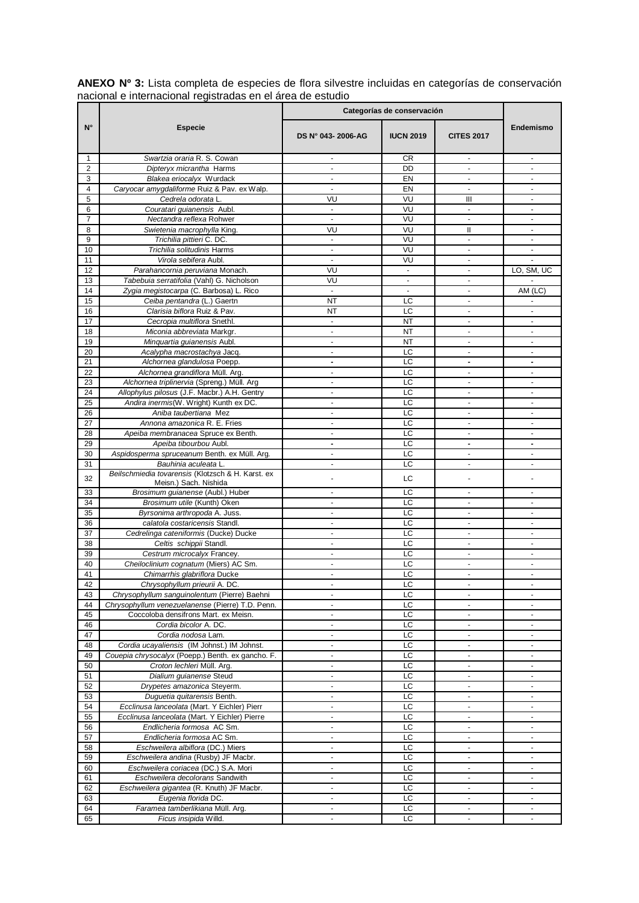|                     | adional o internadional regionadae on ol area de estadio                   | Categorías de conservación                 |                  |                                            |                                  |
|---------------------|----------------------------------------------------------------------------|--------------------------------------------|------------------|--------------------------------------------|----------------------------------|
| $N^{\circ}$         | <b>Especie</b>                                                             | DS N° 043-2006-AG                          | <b>IUCN 2019</b> | <b>CITES 2017</b>                          | Endemismo                        |
| 1                   | Swartzia oraria R. S. Cowan                                                | $\sim$                                     | CR               | $\blacksquare$                             | $\blacksquare$                   |
| $\overline{2}$      | Dipteryx micrantha Harms                                                   |                                            | <b>DD</b>        |                                            |                                  |
| 3                   | Blakea eriocalyx Wurdack                                                   | $\blacksquare$                             | EN               | $\sim$                                     | ٠                                |
| 4                   | Caryocar amygdaliforme Ruiz & Pav. ex Walp.                                | $\overline{\phantom{a}}$                   | EN               | $\blacksquare$                             | $\overline{\phantom{a}}$         |
| 5                   | Cedrela odorata L.                                                         | VU                                         | VU               | Ш                                          | $\blacksquare$                   |
| 6<br>$\overline{7}$ | Couratari quianensis Aubl.<br>Nectandra reflexa Rohwer                     | $\blacksquare$<br>$\mathbf{r}$             | VU<br>VU         | ÷,<br>$\mathbf{r}$                         | $\blacksquare$                   |
| 8                   | Swietenia macrophylla King.                                                | VU                                         | VU               | Ш                                          | $\blacksquare$                   |
| 9                   | Trichilia pittieri C. DC.                                                  | $\overline{\phantom{a}}$                   | VU               | ÷,                                         |                                  |
| 10                  | Trichilia solitudinis Harms                                                | $\blacksquare$                             | VU               | $\blacksquare$                             | $\blacksquare$                   |
| 11                  | Virola sebifera Aubl.                                                      | $\blacksquare$                             | VU               | $\blacksquare$                             | ÷.                               |
| 12                  | Parahancornia peruviana Monach.                                            | VU                                         | $\mathbf{r}$     |                                            | LO, SM, UC                       |
| 13                  | Tabebuia serratifolia (Vahl) G. Nicholson                                  | VU                                         | $\blacksquare$   | $\sim$                                     |                                  |
| 14                  | Zygia megistocarpa (C. Barbosa) L. Rico                                    | $\overline{\phantom{a}}$                   |                  |                                            | AM (LC)                          |
| 15                  | Ceiba pentandra (L.) Gaertn                                                | <b>NT</b>                                  | LC               | $\blacksquare$                             |                                  |
| 16                  | Clarisia biflora Ruiz & Pav.                                               | NT                                         | LC               | $\sim$                                     | ٠                                |
| 17                  | Cecropia multiflora Snethl.                                                | $\blacksquare$                             | <b>NT</b>        | $\omega$                                   | $\blacksquare$                   |
| 18                  | Miconia abbreviata Markgr.                                                 | $\blacksquare$                             | NT               |                                            |                                  |
| 19                  | Minguartia quianensis Aubl.                                                | $\blacksquare$                             | <b>NT</b>        | $\omega$                                   | $\blacksquare$                   |
| 20                  | Acalypha macrostachya Jacq.                                                | $\overline{\phantom{a}}$                   | LC               | $\blacksquare$                             | ÷,                               |
| 21                  | Alchornea glandulosa Poepp.                                                |                                            | LC               |                                            |                                  |
| 22                  | Alchornea grandiflora Müll. Arg.                                           | $\mathbf{r}$                               | LC               | $\sim$                                     | $\sim$                           |
| 23                  | Alchornea triplinervia (Spreng.) Müll. Arg                                 | $\overline{\phantom{a}}$                   | LC               | $\blacksquare$                             | $\blacksquare$                   |
| 24                  | Allophylus pilosus (J.F. Macbr.) A.H. Gentry                               |                                            | LC               |                                            |                                  |
| 25                  | Andira inermis(W. Wright) Kunth ex DC.                                     | $\overline{\phantom{a}}$                   | LC               | $\sim$                                     | $\mathbf{r}$                     |
| 26                  | Aniba taubertiana Mez                                                      | $\blacksquare$                             | LC               | ä,                                         | ٠                                |
| 27                  | Annona amazonica R. E. Fries                                               | $\blacksquare$                             | LC               | $\overline{\phantom{a}}$                   | $\blacksquare$                   |
| 28                  | Apeiba membranacea Spruce ex Benth.                                        | $\overline{a}$                             | LC               | $\sim$                                     | $\sim$                           |
| 29<br>30            | Apeiba tibourbou Aubl.                                                     | $\overline{\phantom{a}}$<br>$\blacksquare$ | LC<br>LC         | $\overline{\phantom{a}}$<br>$\blacksquare$ | $\blacksquare$                   |
| 31                  | Aspidosperma spruceanum Benth. ex Müll. Arg.<br>Bauhinia aculeata L.       | $\blacksquare$                             | LC               | $\blacksquare$                             | $\blacksquare$                   |
| 32                  | Beilschmiedia tovarensis (Klotzsch & H. Karst. ex<br>Meisn.) Sach. Nishida |                                            | LC               |                                            |                                  |
| 33                  | Brosimum guianense (Aubl.) Huber                                           | $\blacksquare$                             | LС               | $\sim$                                     |                                  |
| 34                  | Brosimum utile (Kunth) Oken                                                | $\overline{a}$                             | LC               | ÷.                                         | $\sim$                           |
| 35                  | Byrsonima arthropoda A. Juss.                                              | $\overline{\phantom{a}}$                   | LC               | $\blacksquare$                             | $\overline{\phantom{a}}$         |
| 36                  | calatola costaricensis Standl.                                             | $\blacksquare$                             | LC               |                                            | ۰                                |
| 37                  | Cedrelinga cateniformis (Ducke) Ducke                                      | $\mathbf{r}$                               | LC               | $\sim$                                     | $\sim$                           |
| 38                  | Celtis schippii Standl.                                                    | $\blacksquare$                             | LC               |                                            |                                  |
| 39                  | Cestrum microcalyx Francey.                                                | $\blacksquare$                             | LC               | $\blacksquare$                             | $\blacksquare$                   |
| 40                  | Cheiloclinium cognatum (Miers) AC Sm.                                      | $\blacksquare$                             | LC               | $\blacksquare$                             | ÷.                               |
| 41                  | Chimarrhis glabriflora Ducke                                               | $\blacksquare$                             | LC               |                                            |                                  |
| 42                  | Chrysophyllum prieurii A. DC.                                              | $\blacksquare$                             | LC               | $\overline{\phantom{a}}$                   | $\overline{\phantom{a}}$         |
| 43<br>44            | Chrysophyllum sanguinolentum (Pierre) Baehni                               | $\blacksquare$<br>$\blacksquare$           | LC               | $\sim$<br>$\omega$                         | $\blacksquare$                   |
| 45                  | Chrysophyllum venezuelanense (Pierre) T.D. Penn.                           | $\blacksquare$                             | LC<br>LC         | $\overline{\phantom{a}}$                   | $\blacksquare$<br>$\blacksquare$ |
| 46                  | Coccoloba densifrons Mart. ex Meisn.<br>Cordia bicolor A. DC.              | $\blacksquare$                             | LC               | $\omega$                                   | ÷.                               |
| 47                  | Cordia nodosa Lam.                                                         | $\overline{\phantom{a}}$                   | LC               | $\blacksquare$                             | $\overline{\phantom{a}}$         |
| 48                  | Cordia ucayaliensis (IM Johnst.) IM Johnst.                                | $\blacksquare$                             | LC               | $\blacksquare$                             | $\blacksquare$                   |
| 49                  | Couepia chrysocalyx (Poepp.) Benth. ex gancho. F.                          | $\blacksquare$                             | LC               | $\sim$                                     | $\sim$                           |
| 50                  | Croton lechleri Müll. Arg.                                                 | $\blacksquare$                             | LC               | ٠                                          | ÷,                               |
| 51                  | Dialium guianense Steud                                                    | $\blacksquare$                             | LC               | $\sim$                                     | ÷.                               |
| 52                  | Drypetes amazonica Steyerm.                                                | $\overline{\phantom{a}}$                   | LC               | $\blacksquare$                             | $\blacksquare$                   |
| 53                  | Duquetia quitarensis Benth.                                                |                                            | LC               |                                            |                                  |
| 54                  | Ecclinusa lanceolata (Mart. Y Eichler) Pierr                               | $\overline{\phantom{a}}$                   | LC               | $\blacksquare$                             | $\blacksquare$                   |
| 55                  | Ecclinusa lanceolata (Mart. Y Eichler) Pierre                              | $\overline{\phantom{a}}$                   | LC               | $\blacksquare$                             | $\blacksquare$                   |
| 56                  | Endlicheria formosa AC Sm.                                                 | $\overline{\phantom{a}}$                   | LC               | $\blacksquare$                             | $\blacksquare$                   |
| 57                  | Endlicheria formosa AC Sm.                                                 | $\overline{\phantom{a}}$                   | LС               | $\blacksquare$                             | $\overline{\phantom{a}}$         |
| 58                  | Eschweilera albiflora (DC.) Miers                                          | $\blacksquare$                             | LC               | $\omega$                                   | $\mathcal{L}_{\mathcal{A}}$      |
| 59                  | Eschweilera andina (Rusby) JF Macbr.                                       | $\blacksquare$                             | LC               | $\blacksquare$                             | $\overline{\phantom{a}}$         |
| 60                  | Eschweilera coriacea (DC.) S.A. Mori                                       | $\blacksquare$                             | LC               | $\blacksquare$                             | $\blacksquare$                   |
| 61                  | Eschweilera decolorans Sandwith                                            | $\blacksquare$                             | LC               | $\blacksquare$                             | $\blacksquare$                   |
| 62                  | Eschweilera gigantea (R. Knuth) JF Macbr.                                  | $\blacksquare$                             | LC               | ÷,                                         | $\blacksquare$                   |
| 63                  | Eugenia florida DC.                                                        | $\blacksquare$                             | LC               | $\sim$                                     | $\blacksquare$                   |
| 64                  | Faramea tamberlikiana Müll. Arg.                                           | $\overline{\phantom{a}}$                   | LC               | $\blacksquare$                             | $\blacksquare$                   |
| 65                  | Ficus insipida Willd.                                                      | $\blacksquare$                             | LC               |                                            |                                  |

**ANEXO Nº 3:** Lista completa de especies de flora silvestre incluidas en categorías de conservación nacional e internacional registradas en el área de estudio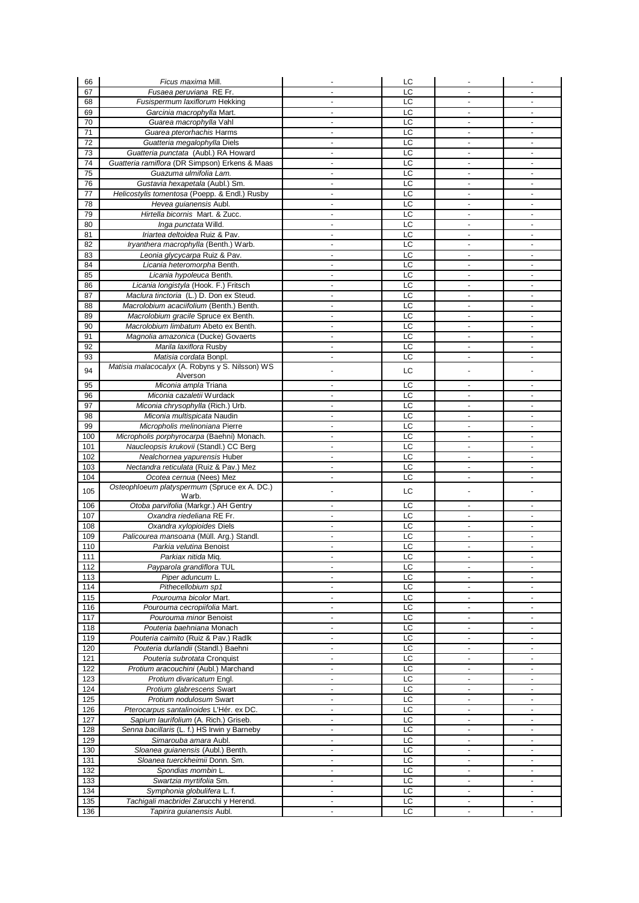| 66         | Ficus maxima Mill.                                                  |                                  | LC       |                                            |                          |
|------------|---------------------------------------------------------------------|----------------------------------|----------|--------------------------------------------|--------------------------|
| 67         | Fusaea peruviana RE Fr.                                             | ä,                               | LC       | ÷                                          |                          |
| 68         | Fusispermum laxiflorum Hekking                                      | $\blacksquare$                   | LC       | $\blacksquare$                             |                          |
| 69         | Garcinia macrophylla Mart.                                          | $\overline{a}$                   | LC       | $\blacksquare$                             | $\sim$                   |
| 70         | Guarea macrophylla Vahl                                             | $\overline{\phantom{a}}$         | LC       | $\overline{a}$                             |                          |
| 71         | Guarea pterorhachis Harms                                           | $\blacksquare$                   | LC       |                                            |                          |
| 72         | Guatteria megalophylla Diels                                        | $\sim$                           | LC       | $\blacksquare$                             | $\sim$                   |
| 73         | Guatteria punctata (Aubl.) RA Howard                                |                                  | LC       |                                            |                          |
| 74         | Guatteria ramiflora (DR Simpson) Erkens & Maas                      | $\blacksquare$                   | LC       | $\blacksquare$                             | $\blacksquare$           |
| 75<br>76   | Guazuma ulmifolia Lam.<br>Gustavia hexapetala (Aubl.) Sm.           | $\blacksquare$<br>ä,             | LC<br>LC | $\overline{\phantom{a}}$                   | $\blacksquare$           |
| 77         | Helicostylis tomentosa (Poepp. & Endl.) Rusby                       | $\blacksquare$                   | LC       | $\blacksquare$                             | $\sim$                   |
| 78         | Hevea quianensis Aubl.                                              | $\blacksquare$                   | LC       | $\blacksquare$                             | $\overline{\phantom{a}}$ |
| 79         | Hirtella bicornis Mart. & Zucc.                                     | $\overline{\phantom{a}}$         | LC       |                                            |                          |
| 80         | Inga punctata Willd.                                                | $\blacksquare$                   | LC       | ٠                                          | $\blacksquare$           |
| 81         | Iriartea deltoidea Ruiz & Pav.                                      | $\overline{a}$                   | LC       | ä,                                         | ÷                        |
| 82         | Iryanthera macrophylla (Benth.) Warb.                               | $\overline{\phantom{a}}$         | LC       | ÷                                          | $\overline{\phantom{a}}$ |
| 83         | Leonia glycycarpa Ruiz & Pav.                                       | $\blacksquare$                   | LC       | $\blacksquare$                             | $\overline{a}$           |
| 84         | Licania heteromorpha Benth.                                         | $\sim$                           | LC       | $\blacksquare$                             | $\sim$                   |
| 85         | Licania hypoleuca Benth.                                            |                                  | LC       |                                            |                          |
| 86         | Licania longistyla (Hook. F.) Fritsch                               | $\overline{\phantom{a}}$         | LC       | ÷,                                         | $\blacksquare$           |
| 87         | Maclura tinctoria (L.) D. Don ex Steud.                             | $\blacksquare$                   | LC       | $\overline{\phantom{a}}$                   | $\blacksquare$           |
| 88         | Macrolobium acaciifolium (Benth.) Benth.                            |                                  | LC       |                                            |                          |
| 89         | Macrolobium gracile Spruce ex Benth.                                | $\blacksquare$                   | LC       | $\blacksquare$                             | $\overline{\phantom{a}}$ |
| 90         | Macrolobium limbatum Abeto ex Benth.                                | $\blacksquare$                   | LC       | $\blacksquare$                             | $\sim$                   |
| 91         | Magnolia amazonica (Ducke) Govaerts                                 | $\blacksquare$                   | LC       | ÷                                          |                          |
| 92         | Marila laxiflora Rusby                                              | $\blacksquare$                   | LC       | $\blacksquare$                             | $\overline{a}$           |
| 93         | Matisia cordata Bonpl.                                              | $\overline{a}$                   | LC       | ä,                                         | ÷                        |
| 94         | Matisia malacocalyx (A. Robyns y S. Nilsson) WS<br>Alverson         | $\overline{a}$                   | LC       |                                            |                          |
| 95         | Miconia ampla Triana                                                | $\blacksquare$                   | LC       | $\sim$                                     | $\overline{a}$           |
| 96         | Miconia cazaletii Wurdack                                           | $\overline{a}$                   | LC       | ÷                                          | $\blacksquare$           |
| 97         | Miconia chrysophylla (Rich.) Urb.                                   | $\blacksquare$                   | LC       | $\blacksquare$                             | $\blacksquare$           |
| 98         | Miconia multispicata Naudin                                         | $\blacksquare$                   | LC       | $\blacksquare$                             | $\blacksquare$           |
| 99         | Micropholis melinoniana Pierre                                      | $\blacksquare$                   | LC       | $\blacksquare$                             | $\sim$                   |
| 100        | Micropholis porphyrocarpa (Baehni) Monach.                          | $\blacksquare$                   | LC       | $\blacksquare$                             | $\blacksquare$           |
| 101        | Naucleopsis krukovii (Standl.) CC Berg                              | $\blacksquare$                   | LC       | $\blacksquare$                             | $\overline{a}$           |
| 102        | Nealchornea yapurensis Huber                                        | $\blacksquare$                   | LC       | ä,                                         | $\sim$                   |
| 103        | Nectandra reticulata (Ruiz & Pav.) Mez                              | $\blacksquare$                   | LC       | ä,                                         |                          |
| 104        | Ocotea cernua (Nees) Mez                                            | $\blacksquare$                   | LC       | $\blacksquare$                             | $\sim$                   |
| 105        | Osteophloeum platyspermum (Spruce ex A. DC.)                        | $\blacksquare$                   | LC       | ÷                                          |                          |
|            | Warb.<br>Otoba parvifolia (Markgr.) AH Gentry                       |                                  |          |                                            |                          |
| 106<br>107 | Oxandra riedeliana RE Fr.                                           | $\blacksquare$<br>$\blacksquare$ | LC<br>LC | $\overline{\phantom{a}}$<br>$\blacksquare$ | $\blacksquare$<br>$\sim$ |
| 108        | Oxandra xylopioides Diels                                           | $\blacksquare$                   | LC       | ÷                                          | $\blacksquare$           |
| 109        | Palicourea mansoana (Müll. Arg.) Standl.                            | $\blacksquare$                   | LC       | ä,                                         | ä,                       |
| 110        | Parkia velutina Benoist                                             | $\blacksquare$                   | LC       | $\blacksquare$                             | $\omega$                 |
| 111        | Parkiax nitida Miq.                                                 |                                  | LC       |                                            |                          |
| 112        | Payparola grandiflora TUL                                           | $\overline{\phantom{a}}$         | LC       | $\blacksquare$                             | $\overline{\phantom{a}}$ |
| 113        | Piper aduncum L.                                                    | $\overline{\phantom{a}}$         | LC       | $\blacksquare$                             | $\sim$                   |
| 114        | Pithecellobium sp1                                                  | $\blacksquare$                   | LC       | $\blacksquare$                             | $\overline{\phantom{a}}$ |
| 115        | Pourouma bicolor Mart.                                              | $\blacksquare$                   | LC       | ÷                                          | $\blacksquare$           |
| 116        | Pourouma cecropiifolia Mart.                                        | $\blacksquare$                   | LC       | $\sim$                                     | $\blacksquare$           |
| 117        | Pourouma minor Benoist                                              | $\overline{\phantom{a}}$         | LC       | ÷                                          | $\blacksquare$           |
| 118        | Pouteria baehniana Monach                                           | $\blacksquare$                   | LC       |                                            | ۰                        |
| 119        | Pouteria caimito (Ruiz & Pav.) Radlk                                | $\blacksquare$                   | LC       | $\mathcal{L}_{\mathcal{A}}$                | $\sim$                   |
| 120        | Pouteria durlandii (Standl.) Baehni                                 | $\overline{\phantom{a}}$         | LC       | ÷                                          | $\overline{\phantom{a}}$ |
| 121        | Pouteria subrotata Cronquist                                        | $\blacksquare$                   | LC       | ä,                                         | $\blacksquare$           |
| 122<br>123 | Protium aracouchini (Aubl.) Marchand                                | $\blacksquare$<br>$\overline{a}$ | LC<br>LC | $\blacksquare$                             | $\blacksquare$           |
| 124        | Protium divaricatum Engl.<br>Protium glabrescens Swart              | $\blacksquare$                   | LC       | $\blacksquare$                             | $\blacksquare$           |
| 125        | Protium nodulosum Swart                                             | $\blacksquare$                   | LC       | $\blacksquare$                             | $\blacksquare$           |
| 126        | Pterocarpus santalinoides L'Hér. ex DC.                             | $\blacksquare$                   | LC       | $\blacksquare$                             | $\blacksquare$           |
| 127        | Sapium laurifolium (A. Rich.) Griseb.                               | $\overline{\phantom{a}}$         | LC       | $\blacksquare$                             | $\blacksquare$           |
| 128        | Senna bacillaris (L. f.) HS Irwin y Barneby                         | $\blacksquare$                   | LC       | $\blacksquare$                             | $\blacksquare$           |
| 129        | Simarouba amara Aubl.                                               | $\overline{\phantom{a}}$         | LC       | $\blacksquare$                             | $\blacksquare$           |
| 130        | Sloanea guianensis (Aubl.) Benth.                                   | $\blacksquare$                   | LC       | ä,                                         | $\blacksquare$           |
| 131        | Sloanea tuerckheimii Donn. Sm.                                      | $\blacksquare$                   | LC       | $\blacksquare$                             | $\sim$                   |
| 132        | Spondias mombin L.                                                  | $\overline{\phantom{a}}$         | LC       | ÷                                          |                          |
| 133        | Swartzia myrtifolia Sm.                                             | $\overline{\phantom{a}}$         | LC       | $\blacksquare$                             | ÷.                       |
| 134        |                                                                     |                                  |          |                                            |                          |
|            | Symphonia globulifera L. f.                                         | $\blacksquare$                   | LС       | $\blacksquare$                             | $\blacksquare$           |
| 135<br>136 | Tachigali macbridei Zarucchi y Herend.<br>Tapirira guianensis Aubl. | $\blacksquare$<br>$\blacksquare$ | LC<br>LC | $\blacksquare$                             | $\blacksquare$           |